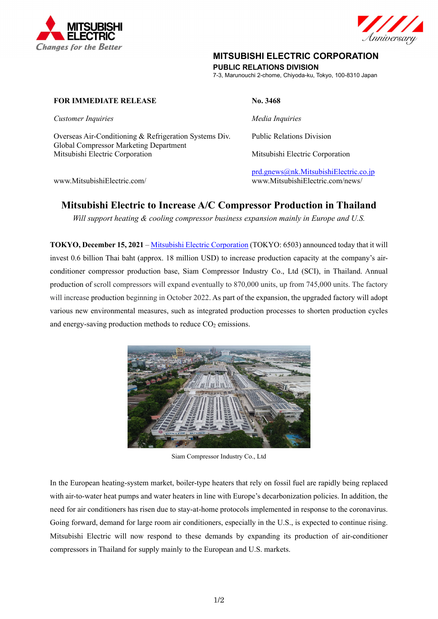



## **MITSUBISHI ELECTRIC CORPORATION**

**PUBLIC RELATIONS DIVISION** 

7-3, Marunouchi 2-chome, Chiyoda-ku, Tokyo, 100-8310 Japan

## **FOR IMMEDIATE RELEASE No. 3468**

*Customer Inquiries* and *Media Inquiries Media Inquiries* 

Overseas Air-Conditioning & Refrigeration Systems Div. Public Relations Division Global Compressor Marketing Department Mitsubishi Electric Corporation Mitsubishi Electric Corporation

prd.gnews@nk.MitsubishiElectric.co.jp www.MitsubishiElectric.com/ www.MitsubishiElectric.com/news/

# **Mitsubishi Electric to Increase A/C Compressor Production in Thailand**

*Will support heating & cooling compressor business expansion mainly in Europe and U.S.* 

**TOKYO, December 15, 2021** – Mitsubishi Electric Corporation (TOKYO: 6503) announced today that it will invest 0.6 billion Thai baht (approx. 18 million USD) to increase production capacity at the company's airconditioner compressor production base, Siam Compressor Industry Co., Ltd (SCI), in Thailand. Annual production of scroll compressors will expand eventually to 870,000 units, up from 745,000 units. The factory will increase production beginning in October 2022. As part of the expansion, the upgraded factory will adopt various new environmental measures, such as integrated production processes to shorten production cycles and energy-saving production methods to reduce  $CO<sub>2</sub>$  emissions.



Siam Compressor Industry Co., Ltd

In the European heating-system market, boiler-type heaters that rely on fossil fuel are rapidly being replaced with air-to-water heat pumps and water heaters in line with Europe's decarbonization policies. In addition, the need for air conditioners has risen due to stay-at-home protocols implemented in response to the coronavirus. Going forward, demand for large room air conditioners, especially in the U.S., is expected to continue rising. Mitsubishi Electric will now respond to these demands by expanding its production of air-conditioner compressors in Thailand for supply mainly to the European and U.S. markets.